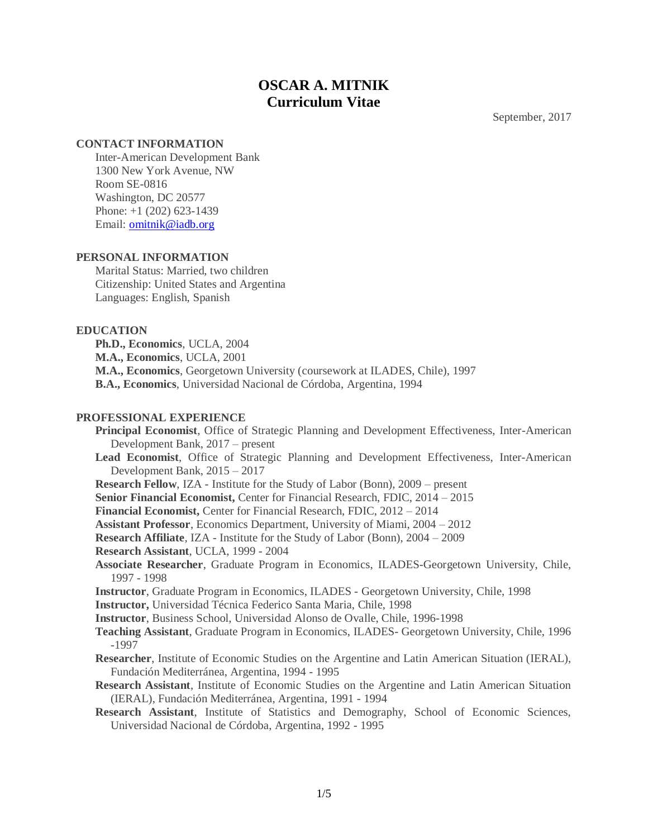# **OSCAR A. MITNIK Curriculum Vitae**

September, 2017

#### **CONTACT INFORMATION**

Inter-American Development Bank 1300 New York Avenue, NW Room SE-0816 Washington, DC 20577 Phone: +1 (202) 623-1439 Email: [omitnik@iadb.org](mailto:omitnik@iadb.org)

#### **PERSONAL INFORMATION**

Marital Status: Married, two children Citizenship: United States and Argentina Languages: English, Spanish

## **EDUCATION**

**Ph.D., Economics**, UCLA, 2004 **M.A., Economics**, UCLA, 2001 **M.A., Economics**, Georgetown University (coursework at ILADES, Chile), 1997 **B.A., Economics**, Universidad Nacional de Córdoba, Argentina, 1994

#### **PROFESSIONAL EXPERIENCE**

**Principal Economist**, Office of Strategic Planning and Development Effectiveness, Inter-American Development Bank, 2017 – present **Lead Economist**, Office of Strategic Planning and Development Effectiveness, Inter-American Development Bank, 2015 – 2017 **Research Fellow**, IZA - Institute for the Study of Labor (Bonn), 2009 – present **Senior Financial Economist,** Center for Financial Research, FDIC, 2014 – 2015 **Financial Economist,** Center for Financial Research, FDIC, 2012 – 2014 **Assistant Professor**, Economics Department, University of Miami, 2004 – 2012 **Research Affiliate**, IZA - Institute for the Study of Labor (Bonn), 2004 – 2009 **Research Assistant**, UCLA, 1999 - 2004 **Associate Researcher**, Graduate Program in Economics, ILADES-Georgetown University, Chile, 1997 - 1998 **Instructor**, Graduate Program in Economics, ILADES - Georgetown University, Chile, 1998 **Instructor,** Universidad Técnica Federico Santa Maria, Chile, 1998 **Instructor**, Business School, Universidad Alonso de Ovalle, Chile, 1996-1998 **Teaching Assistant**, Graduate Program in Economics, ILADES- Georgetown University, Chile, 1996 -1997 **Researcher**, Institute of Economic Studies on the Argentine and Latin American Situation (IERAL), Fundación Mediterránea, Argentina, 1994 - 1995 **Research Assistant**, Institute of Economic Studies on the Argentine and Latin American Situation (IERAL), Fundación Mediterránea, Argentina, 1991 - 1994 **Research Assistant**, Institute of Statistics and Demography, School of Economic Sciences, Universidad Nacional de Córdoba, Argentina, 1992 - 1995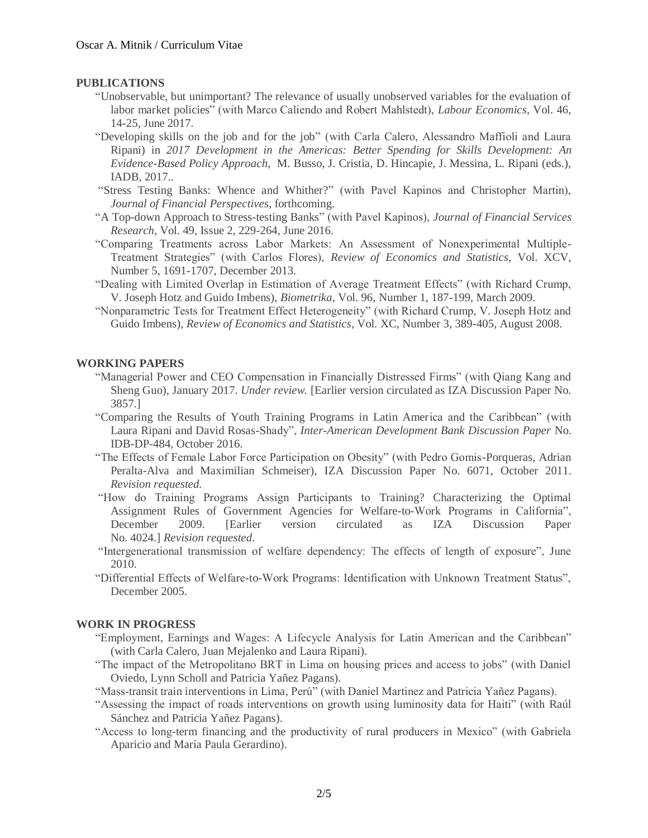#### **PUBLICATIONS**

- "Unobservable, but unimportant? The relevance of usually unobserved variables for the evaluation of labor market policies" (with Marco Caliendo and Robert Mahlstedt), *Labour Economics*, Vol. 46, 14-25, June 2017.
- "Developing skills on the job and for the job" (with Carla Calero, Alessandro Maffioli and Laura Ripani) in *2017 Development in the Americas: Better Spending for Skills Development: An Evidence-Based Policy Approach*, M. Busso, J. Cristia, D. Hincapie, J. Messina, L. Ripani (eds.), IADB, 2017.*.*
- "Stress Testing Banks: Whence and Whither?" (with Pavel Kapinos and Christopher Martin), *Journal of Financial Perspectives*, forthcoming.
- "A Top-down Approach to Stress-testing Banks" (with Pavel Kapinos), *Journal of Financial Services Research*, Vol. 49, Issue 2, 229-264, June 2016.
- "Comparing Treatments across Labor Markets: An Assessment of Nonexperimental Multiple-Treatment Strategies" (with Carlos Flores), *Review of Economics and Statistics*, Vol. XCV, Number 5, 1691-1707, December 2013.
- "Dealing with Limited Overlap in Estimation of Average Treatment Effects" (with Richard Crump, V. Joseph Hotz and Guido Imbens), *Biometrika*, Vol. 96, Number 1, 187-199, March 2009.
- "Nonparametric Tests for Treatment Effect Heterogeneity" (with Richard Crump, V. Joseph Hotz and Guido Imbens), *Review of Economics and Statistics*, Vol. XC, Number 3, 389-405, August 2008.

#### **WORKING PAPERS**

- "Managerial Power and CEO Compensation in Financially Distressed Firms" (with Qiang Kang and Sheng Guo), January 2017. *Under review.* [Earlier version circulated as IZA Discussion Paper No. 3857.]
- "Comparing the Results of Youth Training Programs in Latin America and the Caribbean" (with Laura Ripani and David Rosas-Shady", *Inter-American Development Bank Discussion Paper* No. IDB-DP-484, October 2016.
- "The Effects of Female Labor Force Participation on Obesity" (with Pedro Gomis-Porqueras, Adrian Peralta-Alva and Maximilian Schmeiser), IZA Discussion Paper No. 6071, October 2011. *Revision requested.*
- "How do Training Programs Assign Participants to Training? Characterizing the Optimal Assignment Rules of Government Agencies for Welfare-to-Work Programs in California", December 2009. [Earlier version circulated as IZA Discussion Paper No. 4024.] *Revision requested*.
- "Intergenerational transmission of welfare dependency: The effects of length of exposure", June 2010.
- "Differential Effects of Welfare-to-Work Programs: Identification with Unknown Treatment Status", December 2005.

## **WORK IN PROGRESS**

- "Employment, Earnings and Wages: A Lifecycle Analysis for Latin American and the Caribbean" (with Carla Calero, Juan Mejalenko and Laura Ripani).
- "The impact of the Metropolitano BRT in Lima on housing prices and access to jobs" (with Daniel Oviedo, Lynn Scholl and Patricia Yañez Pagans).
- "Mass-transit train interventions in Lima, Perú" (with Daniel Martinez and Patricia Yañez Pagans).
- "Assessing the impact of roads interventions on growth using luminosity data for Haiti" (with Raúl Sánchez and Patricia Yañez Pagans).
- "Access to long-term financing and the productivity of rural producers in Mexico" (with Gabriela Aparicio and María Paula Gerardino).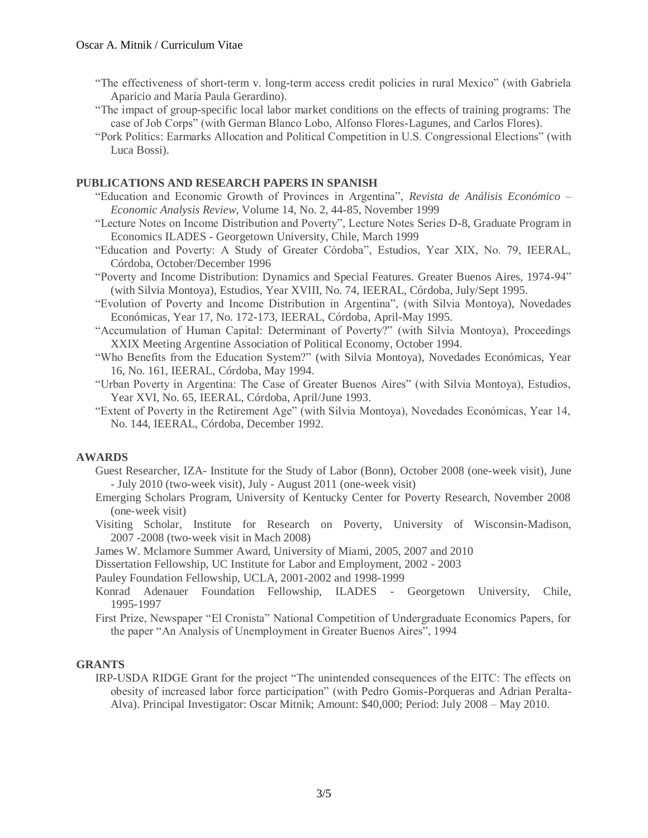- "The effectiveness of short-term v. long-term access credit policies in rural Mexico" (with Gabriela Aparicio and María Paula Gerardino).
- "The impact of group-specific local labor market conditions on the effects of training programs: The case of Job Corps" (with German Blanco Lobo, Alfonso Flores-Lagunes, and Carlos Flores).
- "Pork Politics: Earmarks Allocation and Political Competition in U.S. Congressional Elections" (with Luca Bossi).

## **PUBLICATIONS AND RESEARCH PAPERS IN SPANISH**

- "Education and Economic Growth of Provinces in Argentina", *Revista de Análisis Económico – Economic Analysis Review*, Volume 14, No. 2, 44-85, November 1999
- "Lecture Notes on Income Distribution and Poverty", Lecture Notes Series D-8, Graduate Program in Economics ILADES - Georgetown University, Chile, March 1999
- "Education and Poverty: A Study of Greater Córdoba", Estudios, Year XIX, No. 79, IEERAL, Córdoba, October/December 1996
- "Poverty and Income Distribution: Dynamics and Special Features. Greater Buenos Aires, 1974-94" (with Silvia Montoya), Estudios, Year XVIII, No. 74, IEERAL, Córdoba, July/Sept 1995.
- "Evolution of Poverty and Income Distribution in Argentina", (with Silvia Montoya), Novedades Económicas, Year 17, No. 172-173, IEERAL, Córdoba, April-May 1995.
- "Accumulation of Human Capital: Determinant of Poverty?" (with Silvia Montoya), Proceedings XXIX Meeting Argentine Association of Political Economy, October 1994.
- "Who Benefits from the Education System?" (with Silvia Montoya), Novedades Económicas, Year 16, No. 161, IEERAL, Córdoba, May 1994.
- "Urban Poverty in Argentina: The Case of Greater Buenos Aires" (with Silvia Montoya), Estudios, Year XVI, No. 65, IEERAL, Córdoba, April/June 1993.
- "Extent of Poverty in the Retirement Age" (with Silvia Montoya), Novedades Económicas, Year 14, No. 144, IEERAL, Córdoba, December 1992.

## **AWARDS**

- Guest Researcher, IZA- Institute for the Study of Labor (Bonn), October 2008 (one-week visit), June - July 2010 (two-week visit), July - August 2011 (one-week visit)
- Emerging Scholars Program, University of Kentucky Center for Poverty Research, November 2008 (one-week visit)
- Visiting Scholar, Institute for Research on Poverty, University of Wisconsin-Madison, 2007 -2008 (two-week visit in Mach 2008)
- James W. Mclamore Summer Award, University of Miami, 2005, 2007 and 2010
- Dissertation Fellowship, UC Institute for Labor and Employment, 2002 2003
- Pauley Foundation Fellowship, UCLA, 2001-2002 and 1998-1999
- Konrad Adenauer Foundation Fellowship, ILADES Georgetown University, Chile, 1995-1997
- First Prize, Newspaper "El Cronista" National Competition of Undergraduate Economics Papers, for the paper "An Analysis of Unemployment in Greater Buenos Aires", 1994

## **GRANTS**

IRP-USDA RIDGE Grant for the project "The unintended consequences of the EITC: The effects on obesity of increased labor force participation" (with Pedro Gomis-Porqueras and Adrian Peralta-Alva). Principal Investigator: Oscar Mitnik; Amount: \$40,000; Period: July 2008 – May 2010.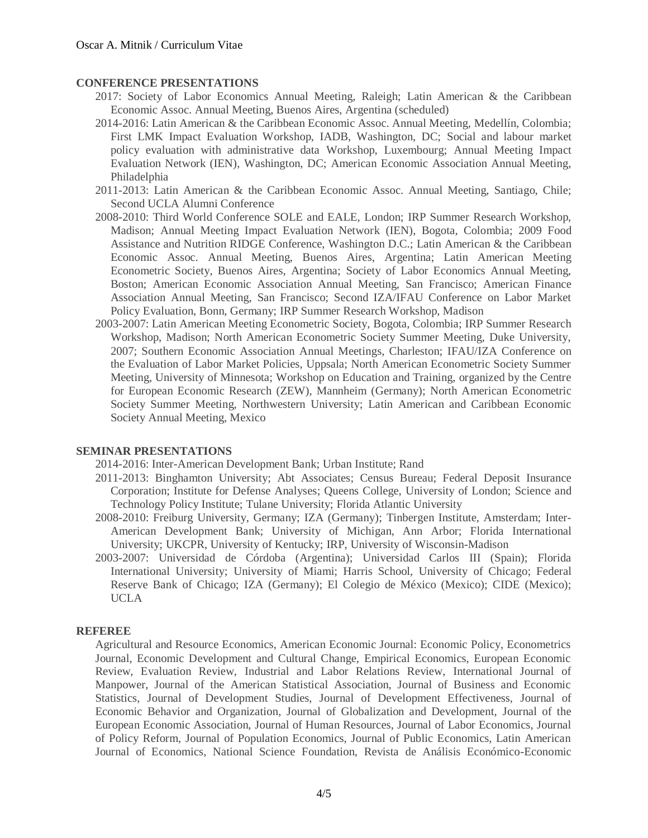#### **CONFERENCE PRESENTATIONS**

- 2017: Society of Labor Economics Annual Meeting, Raleigh; Latin American & the Caribbean Economic Assoc. Annual Meeting, Buenos Aires, Argentina (scheduled)
- 2014-2016: Latin American & the Caribbean Economic Assoc. Annual Meeting, Medellín, Colombia; First LMK Impact Evaluation Workshop, IADB, Washington, DC; Social and labour market policy evaluation with administrative data Workshop, Luxembourg; Annual Meeting Impact Evaluation Network (IEN), Washington, DC; American Economic Association Annual Meeting, Philadelphia
- 2011-2013: Latin American & the Caribbean Economic Assoc. Annual Meeting, Santiago, Chile; Second UCLA Alumni Conference
- 2008-2010: Third World Conference SOLE and EALE, London; IRP Summer Research Workshop, Madison; Annual Meeting Impact Evaluation Network (IEN), Bogota, Colombia; 2009 Food Assistance and Nutrition RIDGE Conference, Washington D.C.; Latin American & the Caribbean Economic Assoc. Annual Meeting, Buenos Aires, Argentina; Latin American Meeting Econometric Society, Buenos Aires, Argentina; Society of Labor Economics Annual Meeting, Boston; American Economic Association Annual Meeting, San Francisco; American Finance Association Annual Meeting, San Francisco; Second IZA/IFAU Conference on Labor Market Policy Evaluation, Bonn, Germany; IRP Summer Research Workshop, Madison
- 2003-2007: Latin American Meeting Econometric Society, Bogota, Colombia; IRP Summer Research Workshop, Madison; North American Econometric Society Summer Meeting, Duke University, 2007; Southern Economic Association Annual Meetings, Charleston; IFAU/IZA Conference on the Evaluation of Labor Market Policies, Uppsala; North American Econometric Society Summer Meeting, University of Minnesota; Workshop on Education and Training, organized by the Centre for European Economic Research (ZEW), Mannheim (Germany); North American Econometric Society Summer Meeting, Northwestern University; Latin American and Caribbean Economic Society Annual Meeting, Mexico

## **SEMINAR PRESENTATIONS**

2014-2016: Inter-American Development Bank; Urban Institute; Rand

- 2011-2013: Binghamton University; Abt Associates; Census Bureau; Federal Deposit Insurance Corporation; Institute for Defense Analyses; Queens College, University of London; Science and Technology Policy Institute; Tulane University; Florida Atlantic University
- 2008-2010: Freiburg University, Germany; IZA (Germany); Tinbergen Institute, Amsterdam; Inter-American Development Bank; University of Michigan, Ann Arbor; Florida International University; UKCPR, University of Kentucky; IRP, University of Wisconsin-Madison
- 2003-2007: Universidad de Córdoba (Argentina); Universidad Carlos III (Spain); Florida International University; University of Miami; Harris School, University of Chicago; Federal Reserve Bank of Chicago; IZA (Germany); El Colegio de México (Mexico); CIDE (Mexico); UCLA

## **REFEREE**

Agricultural and Resource Economics, American Economic Journal: Economic Policy, Econometrics Journal, Economic Development and Cultural Change, Empirical Economics, European Economic Review, Evaluation Review, Industrial and Labor Relations Review, International Journal of Manpower, Journal of the American Statistical Association, Journal of Business and Economic Statistics, Journal of Development Studies, Journal of Development Effectiveness, Journal of Economic Behavior and Organization, Journal of Globalization and Development, Journal of the European Economic Association, Journal of Human Resources, Journal of Labor Economics, Journal of Policy Reform, Journal of Population Economics, Journal of Public Economics, Latin American Journal of Economics, National Science Foundation, Revista de Análisis Económico-Economic